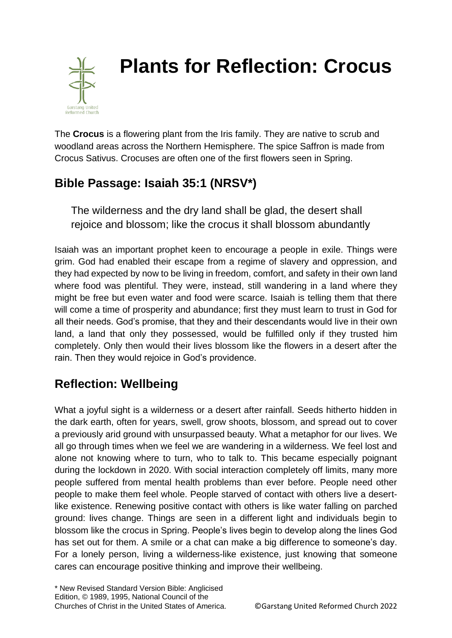

# **Plants for Reflection: Crocus**

The **Crocus** is a flowering plant from the Iris family. They are native to scrub and woodland areas across the Northern Hemisphere. The spice Saffron is made from Crocus Sativus. Crocuses are often one of the first flowers seen in Spring.

## **Bible Passage: Isaiah 35:1 (NRSV\*)**

The wilderness and the dry land shall be glad, the desert shall rejoice and blossom; like the crocus it shall blossom abundantly

Isaiah was an important prophet keen to encourage a people in exile. Things were grim. God had enabled their escape from a regime of slavery and oppression, and they had expected by now to be living in freedom, comfort, and safety in their own land where food was plentiful. They were, instead, still wandering in a land where they might be free but even water and food were scarce. Isaiah is telling them that there will come a time of prosperity and abundance; first they must learn to trust in God for all their needs. God's promise, that they and their descendants would live in their own land, a land that only they possessed, would be fulfilled only if they trusted him completely. Only then would their lives blossom like the flowers in a desert after the rain. Then they would rejoice in God's providence.

## **Reflection: Wellbeing**

What a joyful sight is a wilderness or a desert after rainfall. Seeds hitherto hidden in the dark earth, often for years, swell, grow shoots, blossom, and spread out to cover a previously arid ground with unsurpassed beauty. What a metaphor for our lives. We all go through times when we feel we are wandering in a wilderness. We feel lost and alone not knowing where to turn, who to talk to. This became especially poignant during the lockdown in 2020. With social interaction completely off limits, many more people suffered from mental health problems than ever before. People need other people to make them feel whole. People starved of contact with others live a desertlike existence. Renewing positive contact with others is like water falling on parched ground: lives change. Things are seen in a different light and individuals begin to blossom like the crocus in Spring. People's lives begin to develop along the lines God has set out for them. A smile or a chat can make a big difference to someone's day. For a lonely person, living a wilderness-like existence, just knowing that someone cares can encourage positive thinking and improve their wellbeing.